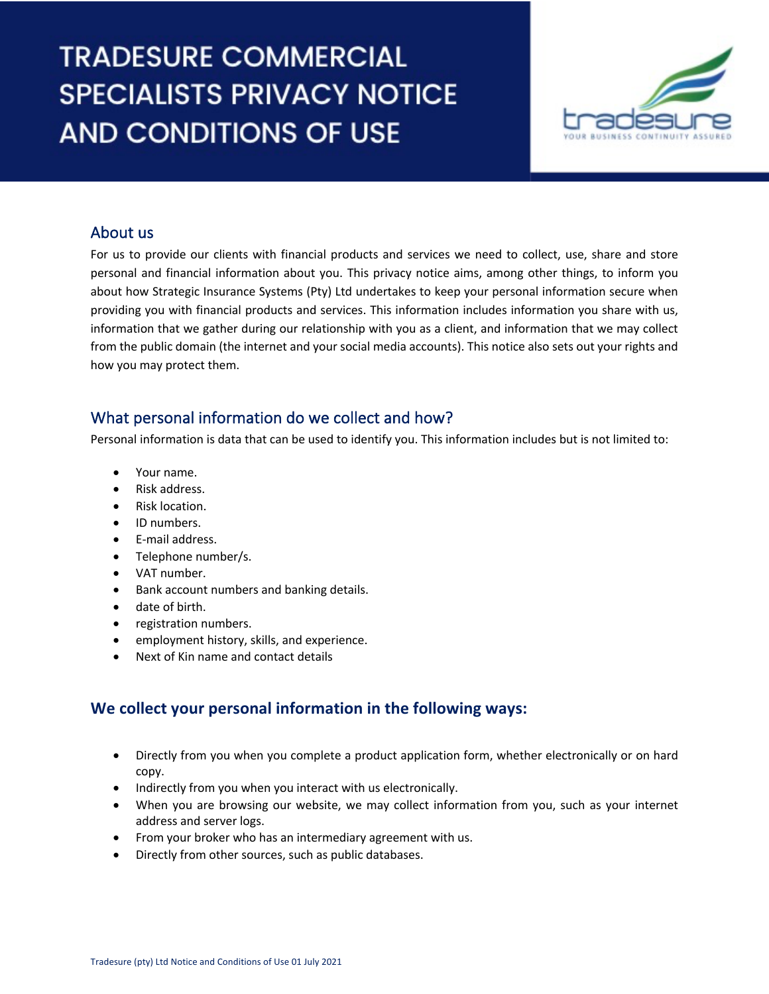# **TRADESURE COMMERCIAL SPECIALISTS PRIVACY NOTICE AND CONDITIONS OF USE**



# About us

i<br>I

For us to provide our clients with financial products and services we need to collect, use, share and store personal and financial information about you. This privacy notice aims, among other things, to inform you about how Strategic Insurance Systems (Pty) Ltd undertakes to keep your personal information secure when providing you with financial products and services. This information includes information you share with us, information that we gather during our relationship with you as a client, and information that we may collect from the public domain (the internet and your social media accounts). This notice also sets out your rights and how you may protect them.

## What personal information do we collect and how?

Personal information is data that can be used to identify you. This information includes but is not limited to:

- Your name.
- Risk address.
- Risk location.
- ID numbers.
- E-mail address.
- Telephone number/s.
- VAT number.
- Bank account numbers and banking details.
- date of birth.
- registration numbers.
- employment history, skills, and experience.
- Next of Kin name and contact details

# **We collect your personal information in the following ways:**

- Directly from you when you complete a product application form, whether electronically or on hard copy.
- Indirectly from you when you interact with us electronically.
- When you are browsing our website, we may collect information from you, such as your internet address and server logs.
- From your broker who has an intermediary agreement with us.
- Directly from other sources, such as public databases.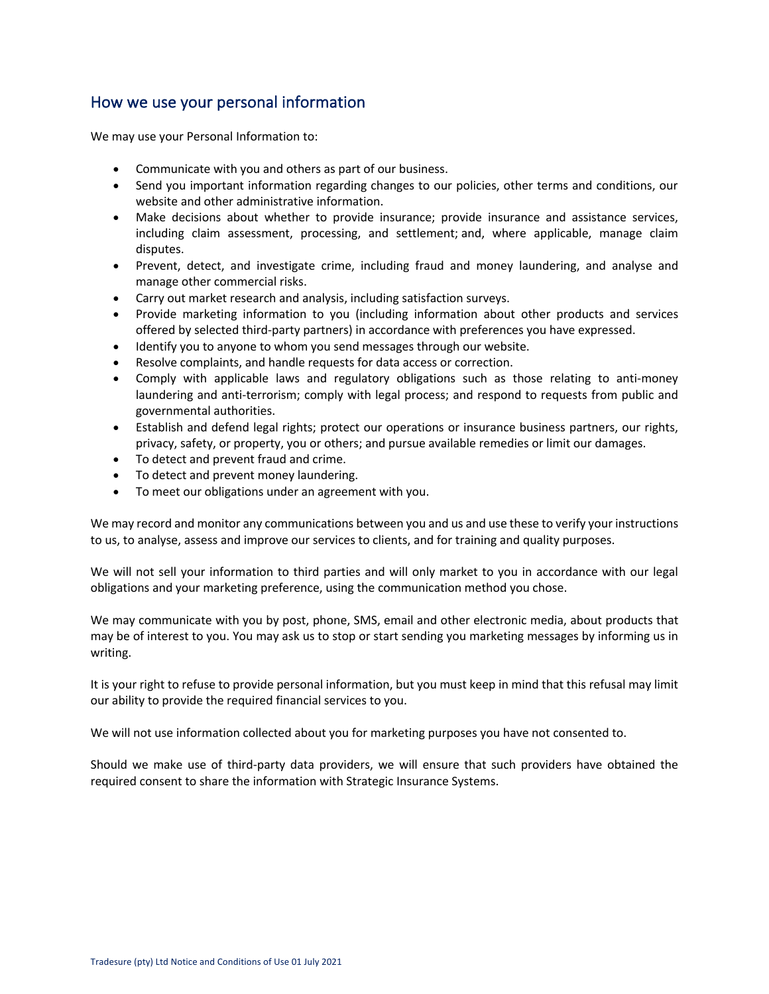## How we use your personal information

We may use your Personal Information to:

- Communicate with you and others as part of our business.
- Send you important information regarding changes to our policies, other terms and conditions, our website and other administrative information.
- Make decisions about whether to provide insurance; provide insurance and assistance services, including claim assessment, processing, and settlement; and, where applicable, manage claim disputes.
- Prevent, detect, and investigate crime, including fraud and money laundering, and analyse and manage other commercial risks.
- Carry out market research and analysis, including satisfaction surveys.
- Provide marketing information to you (including information about other products and services offered by selected third-party partners) in accordance with preferences you have expressed.
- Identify you to anyone to whom you send messages through our website.
- Resolve complaints, and handle requests for data access or correction.
- Comply with applicable laws and regulatory obligations such as those relating to anti-money laundering and anti-terrorism; comply with legal process; and respond to requests from public and governmental authorities.
- Establish and defend legal rights; protect our operations or insurance business partners, our rights, privacy, safety, or property, you or others; and pursue available remedies or limit our damages.
- To detect and prevent fraud and crime.
- To detect and prevent money laundering.
- To meet our obligations under an agreement with you.

We may record and monitor any communications between you and us and use these to verify your instructions to us, to analyse, assess and improve our services to clients, and for training and quality purposes.

We will not sell your information to third parties and will only market to you in accordance with our legal obligations and your marketing preference, using the communication method you chose.

We may communicate with you by post, phone, SMS, email and other electronic media, about products that may be of interest to you. You may ask us to stop or start sending you marketing messages by informing us in writing.

It is your right to refuse to provide personal information, but you must keep in mind that this refusal may limit our ability to provide the required financial services to you.

We will not use information collected about you for marketing purposes you have not consented to.

Should we make use of third-party data providers, we will ensure that such providers have obtained the required consent to share the information with Strategic Insurance Systems.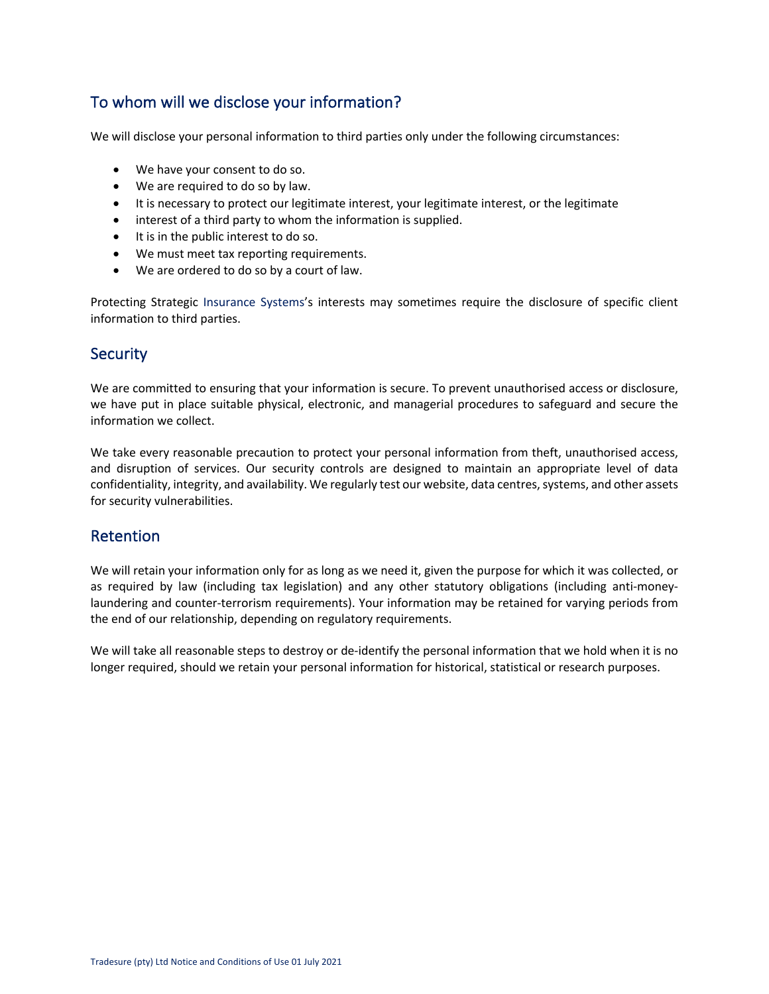# To whom will we disclose your information?

We will disclose your personal information to third parties only under the following circumstances:

- We have your consent to do so.
- We are required to do so by law.
- It is necessary to protect our legitimate interest, your legitimate interest, or the legitimate
- interest of a third party to whom the information is supplied.
- It is in the public interest to do so.
- We must meet tax reporting requirements.
- We are ordered to do so by a court of law.

Protecting Strategic Insurance Systems's interests may sometimes require the disclosure of specific client information to third parties.

#### **Security**

We are committed to ensuring that your information is secure. To prevent unauthorised access or disclosure, we have put in place suitable physical, electronic, and managerial procedures to safeguard and secure the information we collect.

We take every reasonable precaution to protect your personal information from theft, unauthorised access, and disruption of services. Our security controls are designed to maintain an appropriate level of data confidentiality, integrity, and availability. We regularly test our website, data centres, systems, and other assets for security vulnerabilities.

#### Retention

We will retain your information only for as long as we need it, given the purpose for which it was collected, or as required by law (including tax legislation) and any other statutory obligations (including anti-moneylaundering and counter-terrorism requirements). Your information may be retained for varying periods from the end of our relationship, depending on regulatory requirements.

We will take all reasonable steps to destroy or de-identify the personal information that we hold when it is no longer required, should we retain your personal information for historical, statistical or research purposes.